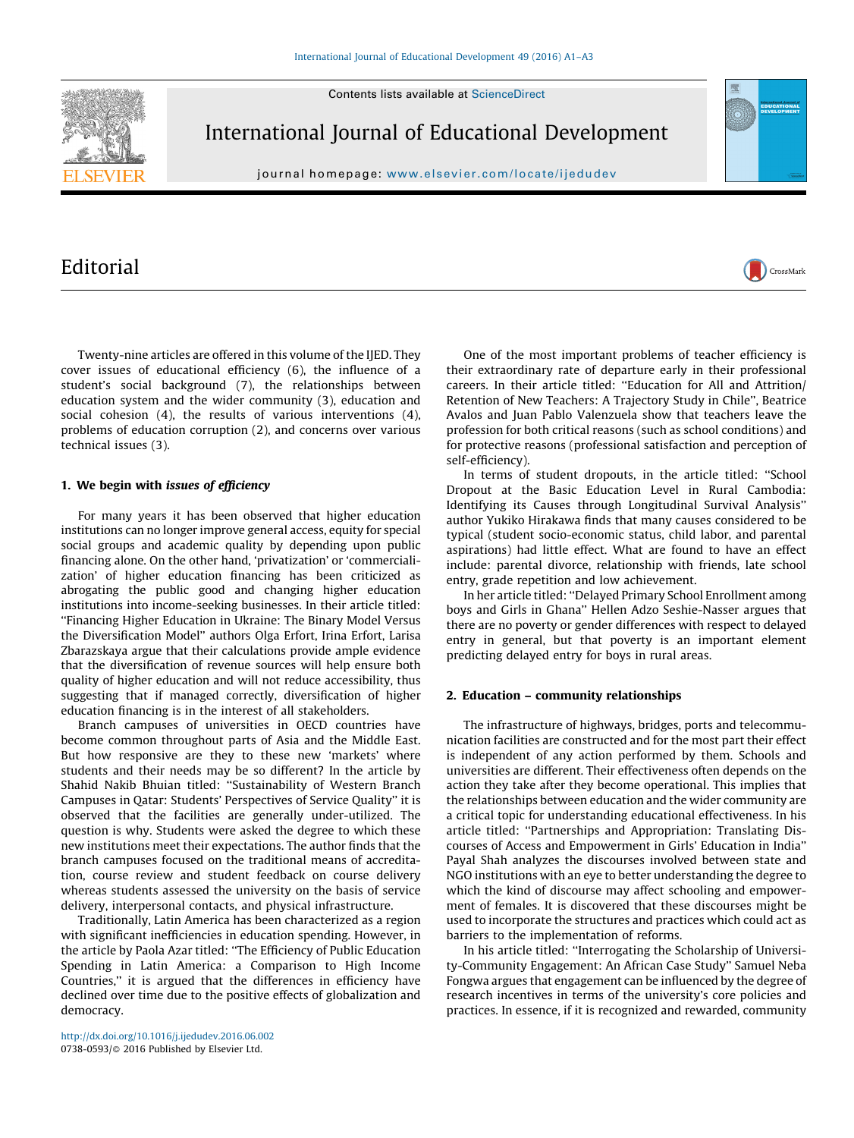Contents lists available at [ScienceDirect](http://www.sciencedirect.com/science/journal/07380593)



International Journal of Educational Development

journal homepage: <www.elsevier.com/locate/ijedudev>

# Editorial

Twenty-nine articles are offered in this volume of the IJED. They cover issues of educational efficiency (6), the influence of a student's social background (7), the relationships between education system and the wider community (3), education and social cohesion (4), the results of various interventions (4), problems of education corruption (2), and concerns over various technical issues (3).

## 1. We begin with issues of efficiency

For many years it has been observed that higher education institutions can no longer improve general access, equity for special social groups and academic quality by depending upon public financing alone. On the other hand, 'privatization' or 'commercialization' of higher education financing has been criticized as abrogating the public good and changing higher education institutions into income-seeking businesses. In their article titled: ''Financing Higher Education in Ukraine: The Binary Model Versus the Diversification Model'' authors Olga Erfort, Irina Erfort, Larisa Zbarazskaya argue that their calculations provide ample evidence that the diversification of revenue sources will help ensure both quality of higher education and will not reduce accessibility, thus suggesting that if managed correctly, diversification of higher education financing is in the interest of all stakeholders.

Branch campuses of universities in OECD countries have become common throughout parts of Asia and the Middle East. But how responsive are they to these new 'markets' where students and their needs may be so different? In the article by Shahid Nakib Bhuian titled: ''Sustainability of Western Branch Campuses in Qatar: Students' Perspectives of Service Quality'' it is observed that the facilities are generally under-utilized. The question is why. Students were asked the degree to which these new institutions meet their expectations. The author finds that the branch campuses focused on the traditional means of accreditation, course review and student feedback on course delivery whereas students assessed the university on the basis of service delivery, interpersonal contacts, and physical infrastructure.

Traditionally, Latin America has been characterized as a region with significant inefficiencies in education spending. However, in the article by Paola Azar titled: ''The Efficiency of Public Education Spending in Latin America: a Comparison to High Income Countries,'' it is argued that the differences in efficiency have declined over time due to the positive effects of globalization and democracy.

One of the most important problems of teacher efficiency is their extraordinary rate of departure early in their professional careers. In their article titled: ''Education for All and Attrition/ Retention of New Teachers: A Trajectory Study in Chile'', Beatrice Avalos and Juan Pablo Valenzuela show that teachers leave the profession for both critical reasons (such as school conditions) and for protective reasons (professional satisfaction and perception of self-efficiency).

In terms of student dropouts, in the article titled: ''School Dropout at the Basic Education Level in Rural Cambodia: Identifying its Causes through Longitudinal Survival Analysis'' author Yukiko Hirakawa finds that many causes considered to be typical (student socio-economic status, child labor, and parental aspirations) had little effect. What are found to have an effect include: parental divorce, relationship with friends, late school entry, grade repetition and low achievement.

In her article titled: ''Delayed Primary School Enrollment among boys and Girls in Ghana'' Hellen Adzo Seshie-Nasser argues that there are no poverty or gender differences with respect to delayed entry in general, but that poverty is an important element predicting delayed entry for boys in rural areas.

### 2. Education – community relationships

The infrastructure of highways, bridges, ports and telecommunication facilities are constructed and for the most part their effect is independent of any action performed by them. Schools and universities are different. Their effectiveness often depends on the action they take after they become operational. This implies that the relationships between education and the wider community are a critical topic for understanding educational effectiveness. In his article titled: ''Partnerships and Appropriation: Translating Discourses of Access and Empowerment in Girls' Education in India'' Payal Shah analyzes the discourses involved between state and NGO institutions with an eye to better understanding the degree to which the kind of discourse may affect schooling and empowerment of females. It is discovered that these discourses might be used to incorporate the structures and practices which could act as barriers to the implementation of reforms.

In his article titled: ''Interrogating the Scholarship of University-Community Engagement: An African Case Study'' Samuel Neba Fongwa argues that engagement can be influenced by the degree of research incentives in terms of the university's core policies and practices. In essence, if it is recognized and rewarded, community

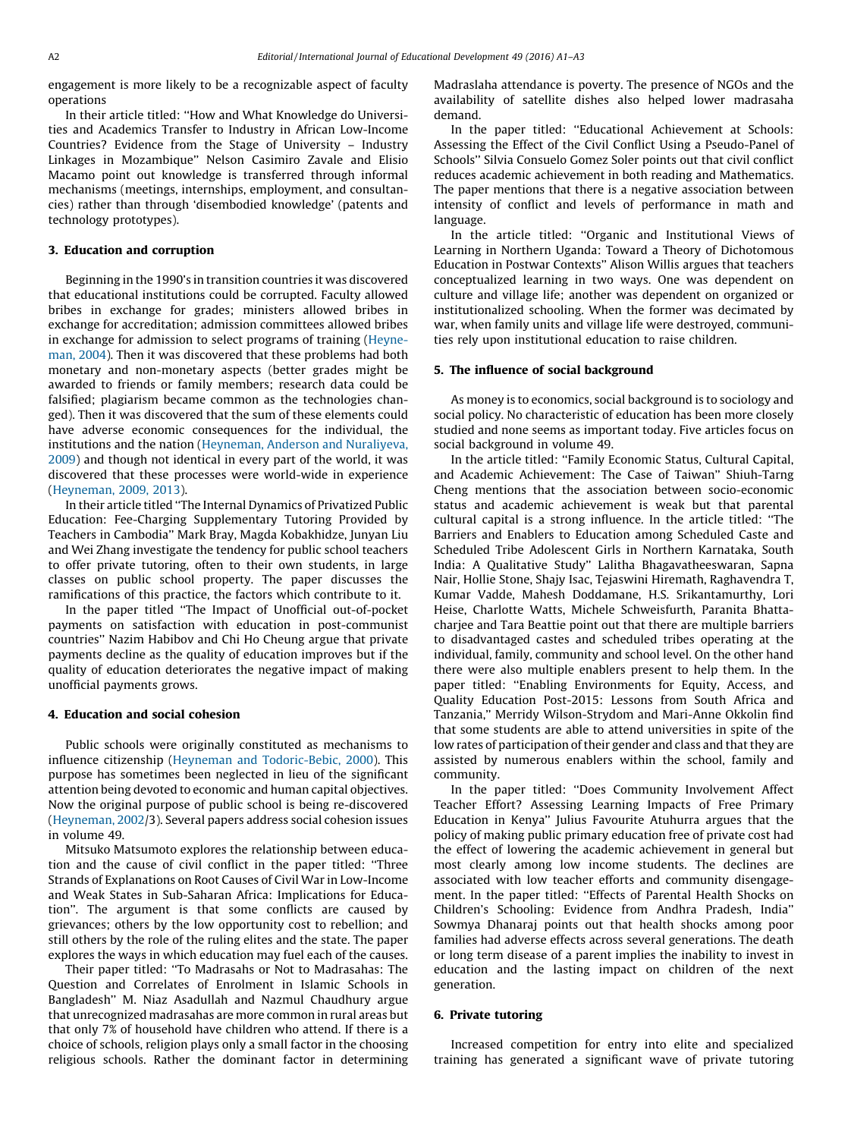engagement is more likely to be a recognizable aspect of faculty operations

In their article titled: ''How and What Knowledge do Universities and Academics Transfer to Industry in African Low-Income Countries? Evidence from the Stage of University – Industry Linkages in Mozambique'' Nelson Casimiro Zavale and Elisio Macamo point out knowledge is transferred through informal mechanisms (meetings, internships, employment, and consultancies) rather than through 'disembodied knowledge' (patents and technology prototypes).

### 3. Education and corruption

Beginning in the 1990's in transition countries it was discovered that educational institutions could be corrupted. Faculty allowed bribes in exchange for grades; ministers allowed bribes in exchange for accreditation; admission committees allowed bribes in exchange for admission to select programs of training ([Heyne](#page-2-0)[man, 2004](#page-2-0)). Then it was discovered that these problems had both monetary and non-monetary aspects (better grades might be awarded to friends or family members; research data could be falsified; plagiarism became common as the technologies changed). Then it was discovered that the sum of these elements could have adverse economic consequences for the individual, the institutions and the nation ([Heyneman, Anderson and Nuraliyeva,](#page-2-0) [2009\)](#page-2-0) and though not identical in every part of the world, it was discovered that these processes were world-wide in experience ([Heyneman, 2009, 2013\)](#page-2-0).

In their article titled ''The Internal Dynamics of Privatized Public Education: Fee-Charging Supplementary Tutoring Provided by Teachers in Cambodia'' Mark Bray, Magda Kobakhidze, Junyan Liu and Wei Zhang investigate the tendency for public school teachers to offer private tutoring, often to their own students, in large classes on public school property. The paper discusses the ramifications of this practice, the factors which contribute to it.

In the paper titled ''The Impact of Unofficial out-of-pocket payments on satisfaction with education in post-communist countries'' Nazim Habibov and Chi Ho Cheung argue that private payments decline as the quality of education improves but if the quality of education deteriorates the negative impact of making unofficial payments grows.

#### 4. Education and social cohesion

Public schools were originally constituted as mechanisms to influence citizenship ([Heyneman and Todoric-Bebic, 2000](#page-2-0)). This purpose has sometimes been neglected in lieu of the significant attention being devoted to economic and human capital objectives. Now the original purpose of public school is being re-discovered ([Heyneman, 2002/](#page-2-0)3). Several papers address social cohesion issues in volume 49.

Mitsuko Matsumoto explores the relationship between education and the cause of civil conflict in the paper titled: ''Three Strands of Explanations on Root Causes of Civil War in Low-Income and Weak States in Sub-Saharan Africa: Implications for Education''. The argument is that some conflicts are caused by grievances; others by the low opportunity cost to rebellion; and still others by the role of the ruling elites and the state. The paper explores the ways in which education may fuel each of the causes.

Their paper titled: ''To Madrasahs or Not to Madrasahas: The Question and Correlates of Enrolment in Islamic Schools in Bangladesh'' M. Niaz Asadullah and Nazmul Chaudhury argue that unrecognized madrasahas are more common in rural areas but that only 7% of household have children who attend. If there is a choice of schools, religion plays only a small factor in the choosing religious schools. Rather the dominant factor in determining

Madraslaha attendance is poverty. The presence of NGOs and the availability of satellite dishes also helped lower madrasaha demand.

In the paper titled: ''Educational Achievement at Schools: Assessing the Effect of the Civil Conflict Using a Pseudo-Panel of Schools'' Silvia Consuelo Gomez Soler points out that civil conflict reduces academic achievement in both reading and Mathematics. The paper mentions that there is a negative association between intensity of conflict and levels of performance in math and language.

In the article titled: ''Organic and Institutional Views of Learning in Northern Uganda: Toward a Theory of Dichotomous Education in Postwar Contexts'' Alison Willis argues that teachers conceptualized learning in two ways. One was dependent on culture and village life; another was dependent on organized or institutionalized schooling. When the former was decimated by war, when family units and village life were destroyed, communities rely upon institutional education to raise children.

#### 5. The influence of social background

As money is to economics, social background is to sociology and social policy. No characteristic of education has been more closely studied and none seems as important today. Five articles focus on social background in volume 49.

In the article titled: ''Family Economic Status, Cultural Capital, and Academic Achievement: The Case of Taiwan'' Shiuh-Tarng Cheng mentions that the association between socio-economic status and academic achievement is weak but that parental cultural capital is a strong influence. In the article titled: ''The Barriers and Enablers to Education among Scheduled Caste and Scheduled Tribe Adolescent Girls in Northern Karnataka, South India: A Qualitative Study'' Lalitha Bhagavatheeswaran, Sapna Nair, Hollie Stone, Shajy Isac, Tejaswini Hiremath, Raghavendra T, Kumar Vadde, Mahesh Doddamane, H.S. Srikantamurthy, Lori Heise, Charlotte Watts, Michele Schweisfurth, Paranita Bhattacharjee and Tara Beattie point out that there are multiple barriers to disadvantaged castes and scheduled tribes operating at the individual, family, community and school level. On the other hand there were also multiple enablers present to help them. In the paper titled: ''Enabling Environments for Equity, Access, and Quality Education Post-2015: Lessons from South Africa and Tanzania,'' Merridy Wilson-Strydom and Mari-Anne Okkolin find that some students are able to attend universities in spite of the low rates of participation of their gender and class and that they are assisted by numerous enablers within the school, family and community.

In the paper titled: ''Does Community Involvement Affect Teacher Effort? Assessing Learning Impacts of Free Primary Education in Kenya'' Julius Favourite Atuhurra argues that the policy of making public primary education free of private cost had the effect of lowering the academic achievement in general but most clearly among low income students. The declines are associated with low teacher efforts and community disengagement. In the paper titled: ''Effects of Parental Health Shocks on Children's Schooling: Evidence from Andhra Pradesh, India'' Sowmya Dhanaraj points out that health shocks among poor families had adverse effects across several generations. The death or long term disease of a parent implies the inability to invest in education and the lasting impact on children of the next generation.

#### 6. Private tutoring

Increased competition for entry into elite and specialized training has generated a significant wave of private tutoring